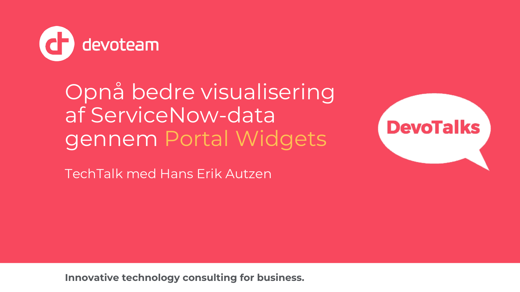

Opnå bedre visualisering af ServiceNow-data gennem Portal Widgets

TechTalk med Hans Erik Autzen



**Innovative technology consulting for business.**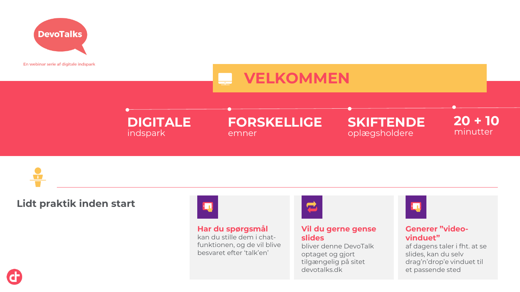

En webinar serie af digitale indspark

# **VELKOMMEN**

**DIGITALE** indspark

# **FORSKELLIGE**

emner

**SKIFTENDE** oplægsholdere

**20 + 10** minutter

 $\mathbf{u}$ 

**Lidt praktik inden start**

# $\mathbf{R}$

#### **Har du spørgsmål**

kan du stille dem i chatfunktionen, og de vil blive besvaret efter 'talk'en'



### **Vil du gerne gense slides**

bliver denne DevoTalk optaget og gjort tilgængelig på sitet devotalks.dk



#### **Generer "videovinduet"**

af dagens taler i fht. at se slides, kan du selv drag'n'drop'e vinduet til et passende sted

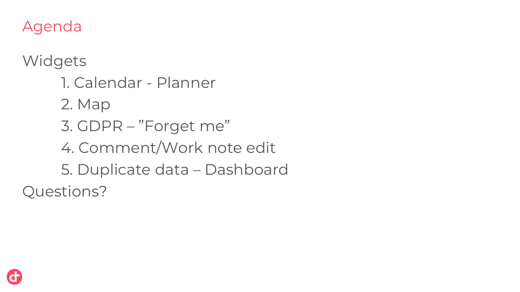Agenda

**Widgets** 

1. Calendar - Planner 2. Map 3. GDPR – "Forget me" 4. Comment/Work note edit 5. Duplicate data – Dashboard Questions?

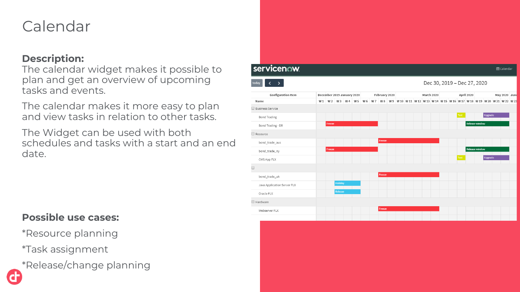# Calendar

### **Description:**

The calendar widget makes it possible to plan and get an overview of upcoming tasks and events.

The calendar makes it more easy to plan and view tasks in relation to other tasks.

The Widget can be used with both schedules and tasks with a start and an end date.

### **Possible use cases:**

- \*Resource planning
- \*Task assignment
- \*Release/change planning

| servicenow.                 |                |                                    |                            |                    |     |               |  |  |            |  |      |                             |         | til Calendar                                               |  |
|-----------------------------|----------------|------------------------------------|----------------------------|--------------------|-----|---------------|--|--|------------|--|------|-----------------------------|---------|------------------------------------------------------------|--|
| today<br>∢<br>$\rightarrow$ |                |                                    |                            |                    |     |               |  |  |            |  |      | Dec 30, 2019 - Dec 27, 2020 |         |                                                            |  |
| <b>Configuration Item</b>   |                |                                    | December 2019 January 2020 |                    |     | February 2020 |  |  | March 2020 |  |      | April 2020                  |         | May 2020 June                                              |  |
| Name                        | W <sub>1</sub> |                                    | W2 W3 W4 W5                |                    | W 6 | W7 W8         |  |  |            |  |      |                             |         | W9 W10 W11 W12 W13 W14 W15 W16 W17 W18 W19 W20 W21 W22 W23 |  |
| □ Business Service          |                |                                    |                            |                    |     |               |  |  |            |  |      |                             |         |                                                            |  |
| <b>Bond Trading</b>         |                |                                    |                            |                    |     |               |  |  |            |  | Test |                             | Upgrade |                                                            |  |
| Bond Trading - DR           |                | Freeze<br><b>Contract Contract</b> |                            | and the control of |     |               |  |  |            |  |      | <b>Release window</b>       |         |                                                            |  |
| □ Resource                  |                |                                    |                            |                    |     |               |  |  |            |  |      |                             |         |                                                            |  |
| bond_trade_aus              |                |                                    |                            |                    |     | Freeze        |  |  |            |  |      |                             |         |                                                            |  |
| bond_trade_ny               |                | Freeze                             |                            |                    |     |               |  |  |            |  |      | Release window              |         |                                                            |  |
| CMS App FLX                 |                |                                    |                            |                    |     |               |  |  |            |  | Test |                             | Upgrade |                                                            |  |
| $\Box$                      |                |                                    |                            |                    |     |               |  |  |            |  |      |                             |         |                                                            |  |
| bond_trade_uk               |                |                                    |                            |                    |     | Freeze        |  |  |            |  |      |                             |         |                                                            |  |
| Java Application Server FLX |                |                                    | Holiday                    |                    |     |               |  |  |            |  |      |                             |         |                                                            |  |
| Oracle FLX                  |                |                                    | Release                    |                    |     |               |  |  |            |  |      |                             |         |                                                            |  |
| □ Hardware                  |                |                                    |                            |                    |     |               |  |  |            |  |      |                             |         |                                                            |  |
| Webserver FLX               |                |                                    |                            |                    |     | Freeze        |  |  |            |  |      |                             |         |                                                            |  |
|                             |                |                                    |                            |                    |     |               |  |  |            |  |      |                             |         |                                                            |  |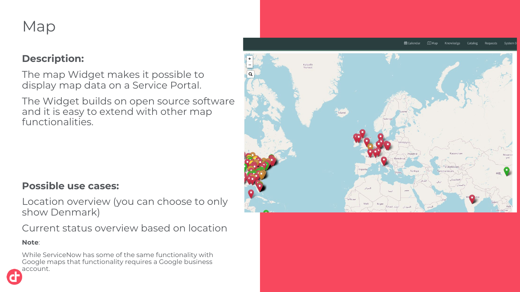# Map

## **Description:**

The map Widget makes it possible to display map data on a Service Portal.

The Widget builds on open source software and it is easy to extend with other map functionalities.



## **Possible use cases:**

Location overview (you can choose to only show Denmark)

Current status overview based on location

### **Note**:

While ServiceNow has some of the same functionality with Google maps that functionality requires a Google business account.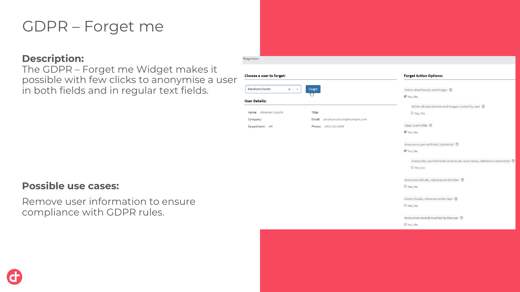# GDPR – Forget me

### **Description:**

The GDPR – Forget me Widget makes it possible with few clicks to anonymise a user in both fields and in regular text fields.

**Forget User** 

| <b>Possible use cases:</b> |  |  |
|----------------------------|--|--|
|----------------------------|--|--|

Remove user information to ensure compliance with GDPR rules.



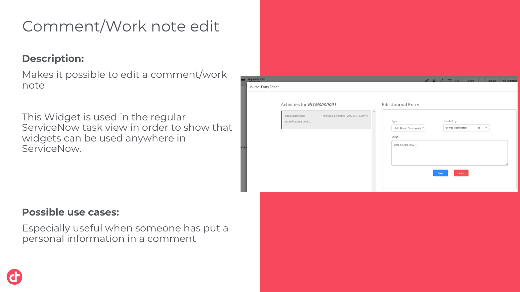# Comment/Work note edit

## **Description:**

Makes it possible to edit a comment/work note

This Widget is used in the regular ServiceNow task view in order to show that widgets can be used anywhere in ServiceNow.

| quested Item<br>ournal Entry Editor                                                                                  | A S . 1 = 000 Follow - Update Add countries                                                                                              |
|----------------------------------------------------------------------------------------------------------------------|------------------------------------------------------------------------------------------------------------------------------------------|
| Activities for RITM0000001<br>Additional Comments · 2020-05-04 03:50:46<br>George Washington<br>Daniel Craig is 007! | Edit Journal Entry<br>$\bar{a}$<br>Created by<br>Type<br>George Washington<br>Additional Comments v<br>$\times$<br>$\mathbf{v}$<br>Value |
|                                                                                                                      | Daniel Craig is 007!<br><b>Delete</b><br>Save                                                                                            |

## **Possible use cases:**

Especially useful when someone has put a personal information in a comment

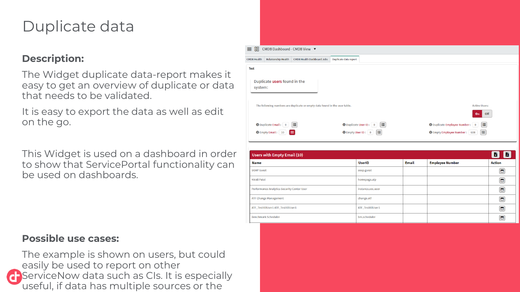# Duplicate data

## **Description:**

The Widget duplicate data-report makes it easy to get an overview of duplicate or data that needs to be validated.

It is easy to export the data as well as edit on the go.

This Widget is used on a dashboard in order to show that ServicePortal functionality can be used on dashboards.

#### ■ BR CMDB Dashboard - CMDB View ▼ Relationship Health | CMDB Health Dashboard Jobs | Duplicate data report Duplicate users found in the system: The following numbers are duplicate or empty data found in the user table **Active Users:**  $Off$ ÎΞ **O** Duplicate Email: 0 = =  $\Theta$  Duplicate User ID:  $\begin{bmatrix} 0 \\ 1 \end{bmatrix}$   $\Xi$ **O** Duplicate Employee Number: 0 **O** Empty Email: 10  $\bigoplus$  Empty User ID:  $\begin{bmatrix} 0 \end{bmatrix}$   $\Xi$ **O** Empty Employee Number: 608

| Users with Empty Email (10)                       |                   |              |                        |        |  |  |  |  |  |
|---------------------------------------------------|-------------------|--------------|------------------------|--------|--|--|--|--|--|
| <b>Name</b>                                       | <b>UserID</b>     | <b>Email</b> | <b>Employee Number</b> | Action |  |  |  |  |  |
| <b>SOAP Guest</b>                                 | soap.guest        |              |                        | ۰      |  |  |  |  |  |
| <b>Nirali Patel</b>                               | homepage.alp      |              |                        | О      |  |  |  |  |  |
| <b>Performance Analytics Security Center User</b> | instance.sec.user |              |                        | □      |  |  |  |  |  |
| <b>ATF Change Management</b>                      | change.atf        |              |                        | ▭      |  |  |  |  |  |
| ATF_TestItilUser1 ATF_TestItilUser1               | ATF_TestItilUser1 |              |                        | ٥      |  |  |  |  |  |
| <b>Benchmark Scheduler</b>                        | bm.scheduler      |              |                        |        |  |  |  |  |  |

### **Possible use cases:**

The example is shown on users, but could easily be used to report on other **ServiceNow data such as CIs. It is especially** useful, if data has multiple sources or the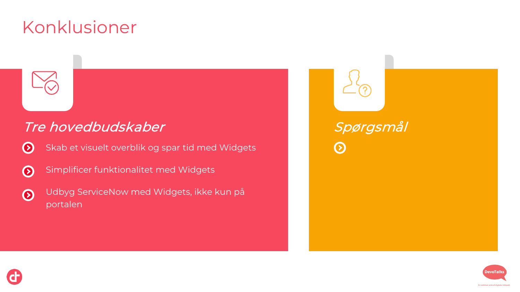# Konklusioner



## Tre hovedbudskaber

Skab et visuelt overblik og spar tid med Widgets  $\odot$ 

- Simplificer funktionalitet med Widgets  $\odot$
- Udbyg ServiceNow med Widgets, ikke kun på  $\odot$ portalen

Spørgsmål  $\odot$